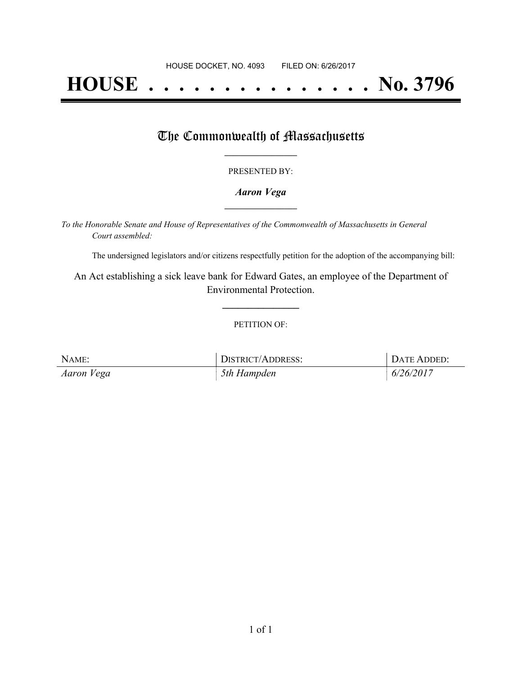# **HOUSE . . . . . . . . . . . . . . . No. 3796**

### The Commonwealth of Massachusetts

#### PRESENTED BY:

#### *Aaron Vega* **\_\_\_\_\_\_\_\_\_\_\_\_\_\_\_\_\_**

*To the Honorable Senate and House of Representatives of the Commonwealth of Massachusetts in General Court assembled:*

The undersigned legislators and/or citizens respectfully petition for the adoption of the accompanying bill:

An Act establishing a sick leave bank for Edward Gates, an employee of the Department of Environmental Protection.

**\_\_\_\_\_\_\_\_\_\_\_\_\_\_\_**

#### PETITION OF:

| NAME:      | <b>DISTRICT/ADDRESS:</b> | DATE ADDED: |
|------------|--------------------------|-------------|
| Aaron Vega | 5th Hampden              | 6/26/2017   |